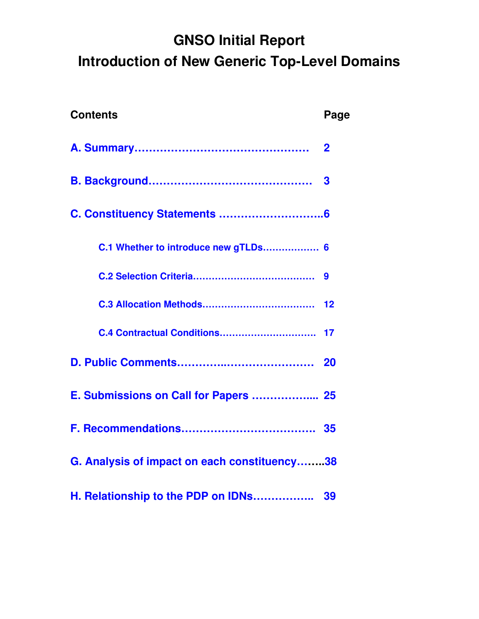# **GNSO Initial Report Introduction of New Generic Top-Level Domains**

<span id="page-0-13"></span><span id="page-0-12"></span><span id="page-0-11"></span><span id="page-0-10"></span><span id="page-0-9"></span><span id="page-0-8"></span><span id="page-0-7"></span><span id="page-0-6"></span><span id="page-0-5"></span><span id="page-0-4"></span><span id="page-0-3"></span><span id="page-0-2"></span><span id="page-0-1"></span><span id="page-0-0"></span>

| <b>Contents</b>                              | Page                    |
|----------------------------------------------|-------------------------|
|                                              | $\overline{\mathbf{2}}$ |
|                                              | 3                       |
|                                              |                         |
| C.1 Whether to introduce new gTLDs 6         |                         |
|                                              | 9                       |
|                                              |                         |
|                                              |                         |
|                                              | 20                      |
| E. Submissions on Call for Papers  25        |                         |
|                                              |                         |
| G. Analysis of impact on each constituency38 |                         |
| H. Relationship to the PDP on IDNs           | 39                      |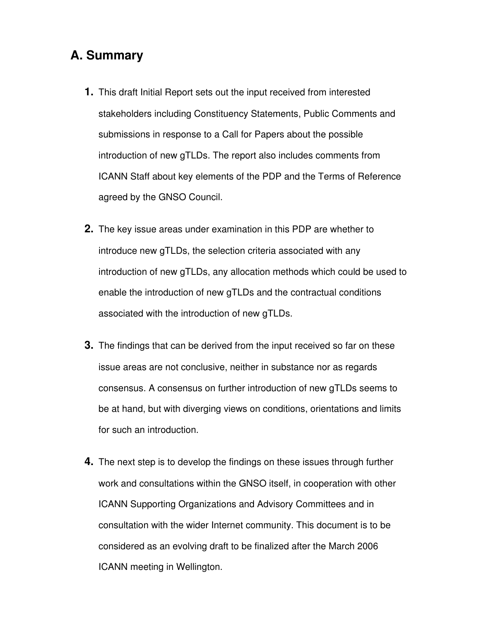### **A. Summary**

- **1.** This draft Initial Report sets out the input received from interested stakeholders including Constituency Statements, Public Comments and submissions in response to a Call for Papers about the possible introduction of new gTLDs. The report also includes comments from ICANN Staff about key elements of the PDP and the Terms of Reference agreed by the GNSO Council.
- **2.** The key issue areas under examination in this PDP are whether to introduce new gTLDs, the selection criteria associated with any introduction of new gTLDs, any allocation methods which could be used to enable the introduction of new gTLDs and the contractual conditions associated with the introduction of new gTLDs.
- **3.** The findings that can be derived from the input received so far on these issue areas are not conclusive, neither in substance nor as regards consensus. A consensus on further introduction of new gTLDs seems to be at hand, but with diverging views on conditions, orientations and limits for such an introduction.
- **4.** The next step is to develop the findings on these issues through further work and consultations within the GNSO itself, in cooperation with other ICANN Supporting Organizations and Advisory Committees and in consultation with the wider Internet community. This document is to be considered as an evolving draft to be finalized after the March 2006 ICANN meeting in Wellington.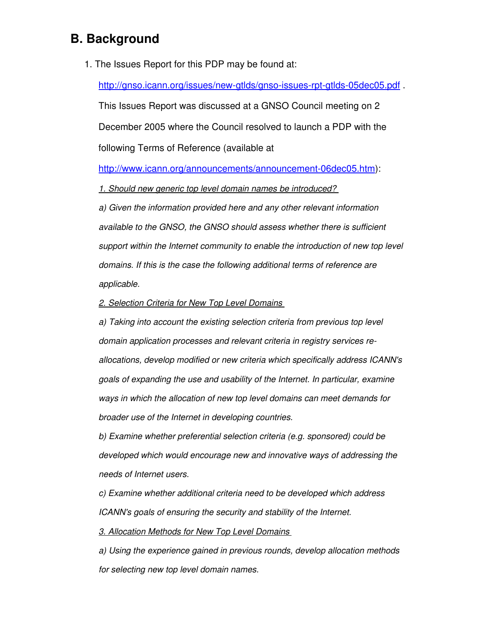### **B. Background**

1. The Issues Report for this PDP may be found at:

http://gnso.icann.org/issues/new-gtlds/gnso-issues-rpt-gtlds-05dec05.pdf.

This Issues Report was discussed at a GNSO Council meeting on 2 December 2005 where the Council resolved to launch a PDP with the following Terms of Reference (available at

http://www.icann.org/announcements/announcement-06dec05.htm):

*1. Should new generic top level domain names be introduced?*

*a) Given the information provided here and any other relevant information available to the GNSO, the GNSO should assess whether there is sufficient support within the Internet community to enable the introduction of new top level domains. If this is the case the following additional terms of reference are applicable.*

*2. Selection Criteria for New Top Level Domains* 

*a) Taking into account the existing selection criteria from previous top level domain application processes and relevant criteria in registry services reallocations, develop modified or new criteria which specifically address ICANN's goals of expanding the use and usability of the Internet. In particular, examine ways in which the allocation of new top level domains can meet demands for broader use of the Internet in developing countries.*

*b) Examine whether preferential selection criteria (e.g. sponsored) could be developed which would encourage new and innovative ways of addressing the needs of Internet users.*

*c) Examine whether additional criteria need to be developed which address ICANN's goals of ensuring the security and stability of the Internet.*

*3. Allocation Methods for New Top Level Domains* 

*a) Using the experience gained in previous rounds, develop allocation methods for selecting new top level domain names.*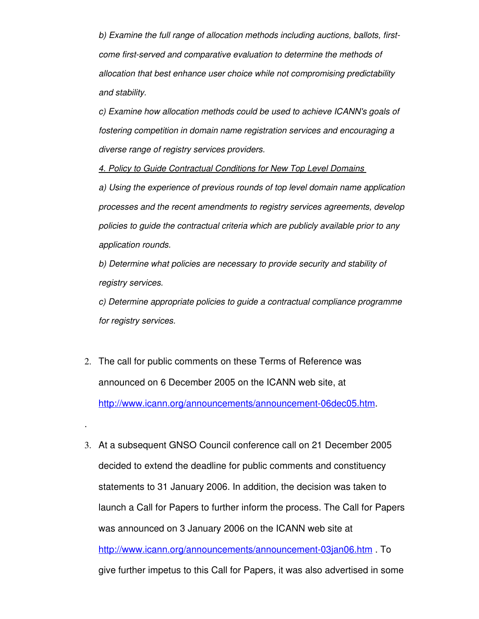*b) Examine the full range of allocation methods including auctions, ballots, firstcome firstserved and comparative evaluation to determine the methods of allocation that best enhance user choice while not compromising predictability and stability.*

*c) Examine how allocation methods could be used to achieve ICANN's goals of fostering competition in domain name registration services and encouraging a diverse range of registry services providers.*

*4. Policy to Guide Contractual Conditions for New Top Level Domains* 

*a) Using the experience of previous rounds of top level domain name application processes and the recent amendments to registry services agreements, develop policies to guide the contractual criteria which are publicly available prior to any application rounds.*

*b) Determine what policies are necessary to provide security and stability of registry services.*

*c) Determine appropriate policies to guide a contractual compliance programme for registry services.*

2. The call for public comments on these Terms of Reference was announced on 6 December 2005 on the ICANN web site, at http://www.icann.org/announcements/announcement-06dec05.htm.

.

3. At a subsequent GNSO Council conference call on 21 December 2005 decided to extend the deadline for public comments and constituency statements to 31 January 2006. In addition, the decision was taken to launch a Call for Papers to further inform the process. The Call for Papers was announced on 3 January 2006 on the ICANN web site at http://www.icann.org/announcements/announcement-03jan06.htm . To give further impetus to this Call for Papers, it was also advertised in some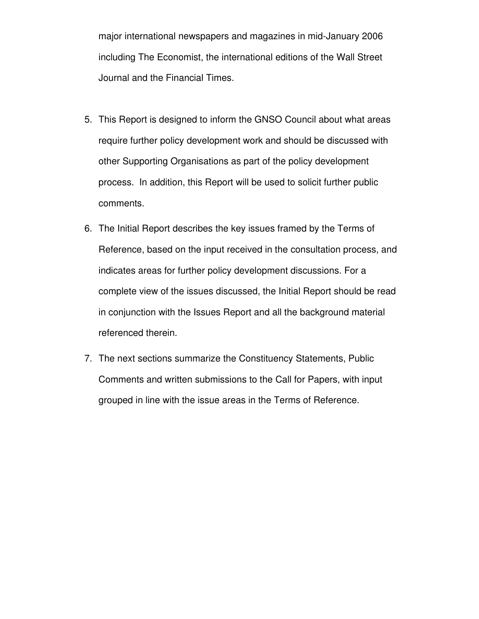major international newspapers and magazines in mid-January 2006 including The Economist, the international editions of the Wall Street Journal and the Financial Times.

- 5. This Report is designed to inform the GNSO Council about what areas require further policy development work and should be discussed with other Supporting Organisations as part of the policy development process. In addition, this Report will be used to solicit further public comments.
- 6. The Initial Report describes the key issues framed by the Terms of Reference, based on the input received in the consultation process, and indicates areas for further policy development discussions. For a complete view of the issues discussed, the Initial Report should be read in conjunction with the Issues Report and all the background material referenced therein.
- 7. The next sections summarize the Constituency Statements, Public Comments and written submissions to the Call for Papers, with input grouped in line with the issue areas in the Terms of Reference.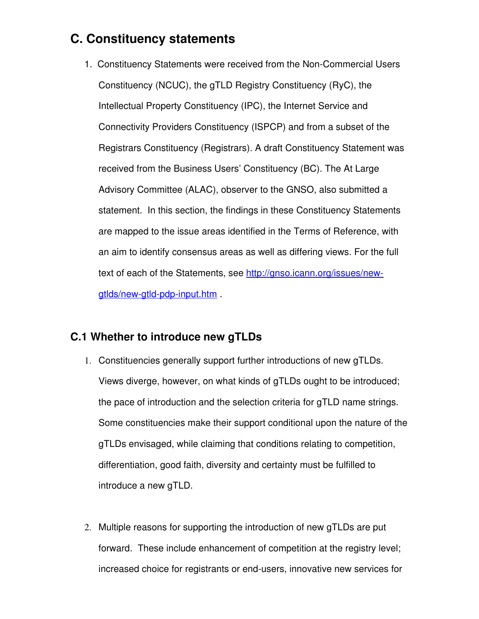### **C. Constituency statements**

1. Constituency Statements were received from the Non-Commercial Users Constituency (NCUC), the gTLD Registry Constituency (RyC), the Intellectual Property Constituency (IPC), the Internet Service and Connectivity Providers Constituency (ISPCP) and from a subset of the Registrars Constituency (Registrars). A draft Constituency Statement was received from the Business Users' Constituency (BC). The At Large Advisory Committee (ALAC), observer to the GNSO, also submitted a statement. In this section, the findings in these Constituency Statements are mapped to the issue areas identified in the Terms of Reference, with an aim to identify consensus areas as well as differing views. For the full text of each of the Statements, see [http://gnso.icann.org/issues/new](http://gnso.icann.org/issues/new-gtlds/new-gtld-pdp-input.htm)gtlds/new-gtld-pdp-input.htm .

#### **C.1 Whether to introduce new gTLDs**

- 1. Constituencies generally support further introductions of new gTLDs. Views diverge, however, on what kinds of gTLDs ought to be introduced; the pace of introduction and the selection criteria for gTLD name strings. Some constituencies make their support conditional upon the nature of the gTLDs envisaged, while claiming that conditions relating to competition, differentiation, good faith, diversity and certainty must be fulfilled to introduce a new gTLD.
- 2. Multiple reasons for supporting the introduction of new gTLDs are put forward. These include enhancement of competition at the registry level; increased choice for registrants or end-users, innovative new services for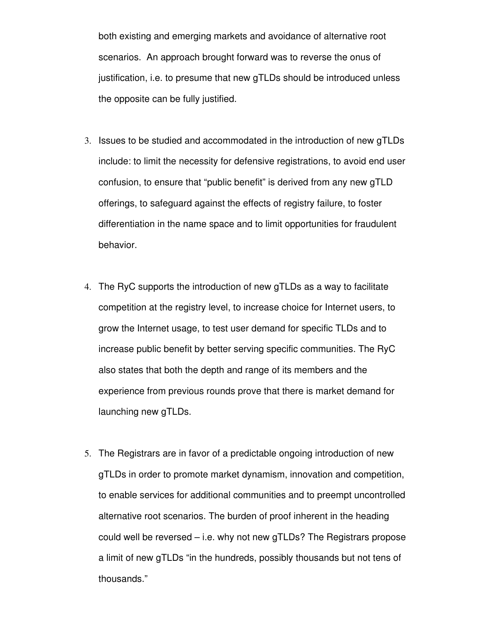both existing and emerging markets and avoidance of alternative root scenarios. An approach brought forward was to reverse the onus of justification, i.e. to presume that new gTLDs should be introduced unless the opposite can be fully justified.

- 3. Issues to be studied and accommodated in the introduction of new gTLDs include: to limit the necessity for defensive registrations, to avoid end user confusion, to ensure that "public benefit" is derived from any new gTLD offerings, to safeguard against the effects of registry failure, to foster differentiation in the name space and to limit opportunities for fraudulent behavior.
- 4. The RyC supports the introduction of new gTLDs as a way to facilitate competition at the registry level, to increase choice for Internet users, to grow the Internet usage, to test user demand for specific TLDs and to increase public benefit by better serving specific communities. The RyC also states that both the depth and range of its members and the experience from previous rounds prove that there is market demand for launching new gTLDs.
- 5. The Registrars are in favor of a predictable ongoing introduction of new gTLDs in order to promote market dynamism, innovation and competition, to enable services for additional communities and to preempt uncontrolled alternative root scenarios. The burden of proof inherent in the heading could well be reversed – i.e. why not new gTLDs? The Registrars propose a limit of new gTLDs "in the hundreds, possibly thousands but not tens of thousands."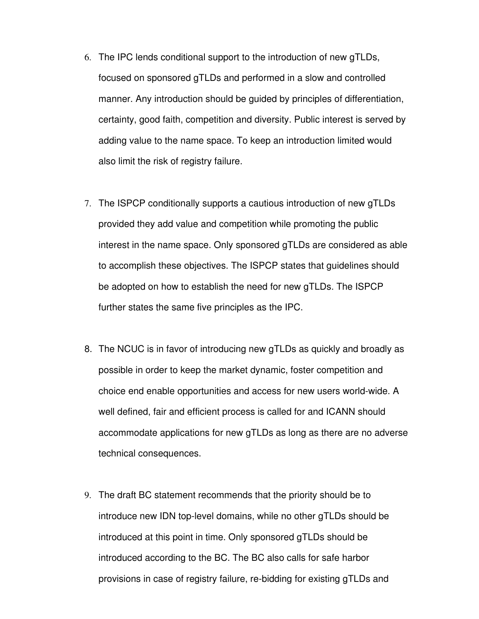- 6. The IPC lends conditional support to the introduction of new gTLDs, focused on sponsored gTLDs and performed in a slow and controlled manner. Any introduction should be guided by principles of differentiation, certainty, good faith, competition and diversity. Public interest is served by adding value to the name space. To keep an introduction limited would also limit the risk of registry failure.
- 7. The ISPCP conditionally supports a cautious introduction of new gTLDs provided they add value and competition while promoting the public interest in the name space. Only sponsored gTLDs are considered as able to accomplish these objectives. The ISPCP states that guidelines should be adopted on how to establish the need for new gTLDs. The ISPCP further states the same five principles as the IPC.
- 8. The NCUC is in favor of introducing new gTLDs as quickly and broadly as possible in order to keep the market dynamic, foster competition and choice end enable opportunities and access for new users world-wide. A well defined, fair and efficient process is called for and ICANN should accommodate applications for new gTLDs as long as there are no adverse technical consequences.
- 9. The draft BC statement recommends that the priority should be to introduce new IDN top-level domains, while no other gTLDs should be introduced at this point in time. Only sponsored gTLDs should be introduced according to the BC. The BC also calls for safe harbor provisions in case of registry failure, re-bidding for existing gTLDs and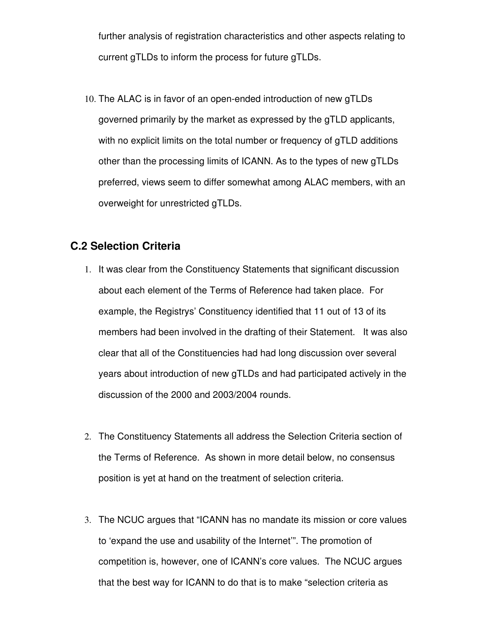further analysis of registration characteristics and other aspects relating to current gTLDs to inform the process for future gTLDs.

10. The ALAC is in favor of an open-ended introduction of new gTLDs governed primarily by the market as expressed by the gTLD applicants, with no explicit limits on the total number or frequency of gTLD additions other than the processing limits of ICANN. As to the types of new gTLDs preferred, views seem to differ somewhat among ALAC members, with an overweight for unrestricted gTLDs.

#### **C.2 Selection Criteria**

- 1. It was clear from the Constituency Statements that significant discussion about each element of the Terms of Reference had taken place. For example, the Registrys' Constituency identified that 11 out of 13 of its members had been involved in the drafting of their Statement. It was also clear that all of the Constituencies had had long discussion over several years about introduction of new gTLDs and had participated actively in the discussion of the 2000 and 2003/2004 rounds.
- 2. The Constituency Statements all address the Selection Criteria section of the Terms of Reference. As shown in more detail below, no consensus position is yet at hand on the treatment of selection criteria.
- 3. The NCUC argues that "ICANN has no mandate its mission or core values to 'expand the use and usability of the Internet'". The promotion of competition is, however, one of ICANN's core values. The NCUC argues that the best way for ICANN to do that is to make "selection criteria as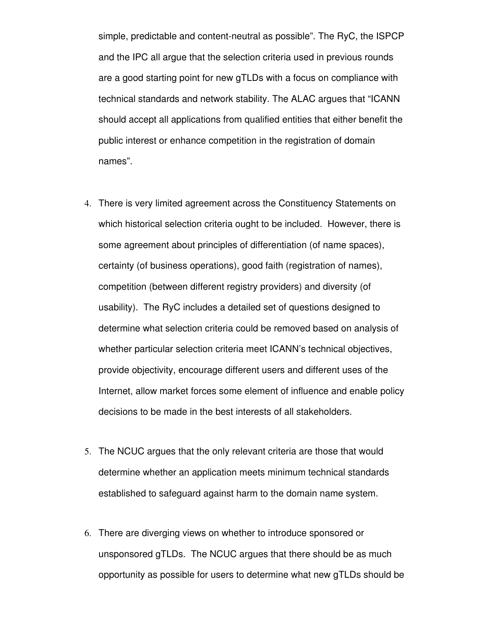simple, predictable and content-neutral as possible". The RyC, the ISPCP and the IPC all argue that the selection criteria used in previous rounds are a good starting point for new gTLDs with a focus on compliance with technical standards and network stability. The ALAC argues that "ICANN should accept all applications from qualified entities that either benefit the public interest or enhance competition in the registration of domain names".

- 4. There is very limited agreement across the Constituency Statements on which historical selection criteria ought to be included. However, there is some agreement about principles of differentiation (of name spaces), certainty (of business operations), good faith (registration of names), competition (between different registry providers) and diversity (of usability). The RyC includes a detailed set of questions designed to determine what selection criteria could be removed based on analysis of whether particular selection criteria meet ICANN's technical objectives, provide objectivity, encourage different users and different uses of the Internet, allow market forces some element of influence and enable policy decisions to be made in the best interests of all stakeholders.
- 5. The NCUC argues that the only relevant criteria are those that would determine whether an application meets minimum technical standards established to safeguard against harm to the domain name system.
- 6. There are diverging views on whether to introduce sponsored or unsponsored gTLDs. The NCUC argues that there should be as much opportunity as possible for users to determine what new gTLDs should be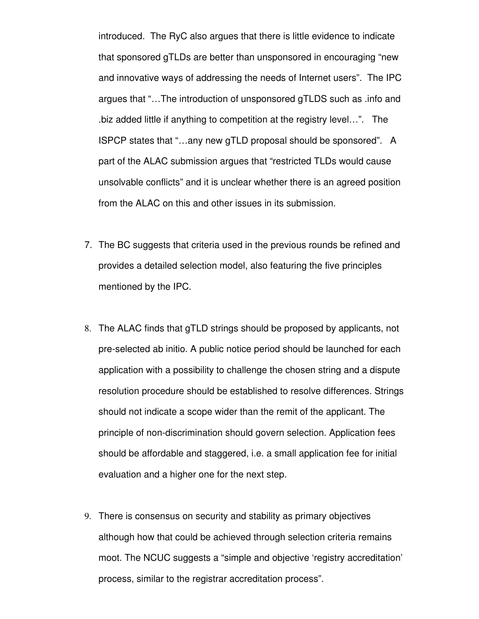introduced. The RyC also argues that there is little evidence to indicate that sponsored gTLDs are better than unsponsored in encouraging "new and innovative ways of addressing the needs of Internet users". The IPC argues that "…The introduction of unsponsored gTLDS such as .info and .biz added little if anything to competition at the registry level…". The ISPCP states that "…any new gTLD proposal should be sponsored". A part of the ALAC submission argues that "restricted TLDs would cause unsolvable conflicts" and it is unclear whether there is an agreed position from the ALAC on this and other issues in its submission.

- 7. The BC suggests that criteria used in the previous rounds be refined and provides a detailed selection model, also featuring the five principles mentioned by the IPC.
- 8. The ALAC finds that gTLD strings should be proposed by applicants, not pre-selected ab initio. A public notice period should be launched for each application with a possibility to challenge the chosen string and a dispute resolution procedure should be established to resolve differences. Strings should not indicate a scope wider than the remit of the applicant. The principle of non-discrimination should govern selection. Application fees should be affordable and staggered, i.e. a small application fee for initial evaluation and a higher one for the next step.
- 9. There is consensus on security and stability as primary objectives although how that could be achieved through selection criteria remains moot. The NCUC suggests a "simple and objective 'registry accreditation' process, similar to the registrar accreditation process".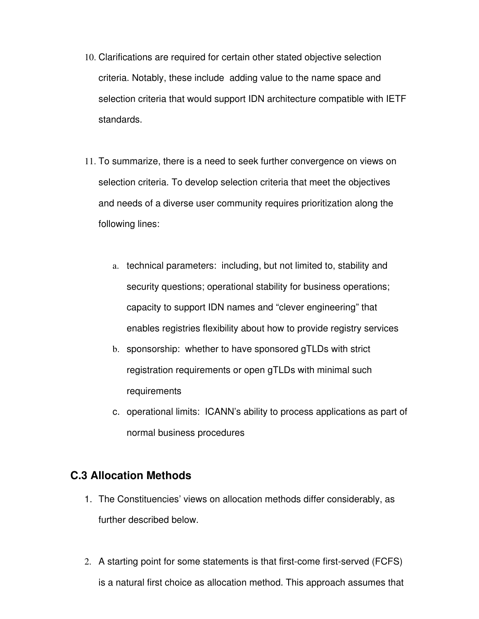- 10. Clarifications are required for certain other stated objective selection criteria. Notably, these include adding value to the name space and selection criteria that would support IDN architecture compatible with IETF standards.
- 11. To summarize, there is a need to seek further convergence on views on selection criteria. To develop selection criteria that meet the objectives and needs of a diverse user community requires prioritization along the following lines:
	- a. technical parameters: including, but not limited to, stability and security questions; operational stability for business operations; capacity to support IDN names and "clever engineering" that enables registries flexibility about how to provide registry services
	- b. sponsorship: whether to have sponsored gTLDs with strict registration requirements or open gTLDs with minimal such requirements
	- c. operational limits: ICANN's ability to process applications as part of normal business procedures

#### **C.3 Allocation Methods**

- 1. The Constituencies' views on allocation methods differ considerably, as further described below.
- 2. A starting point for some statements is that first-come first-served (FCFS) is a natural first choice as allocation method. This approach assumes that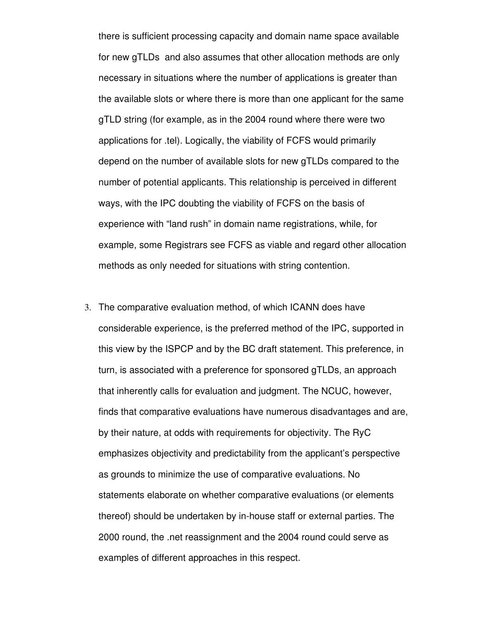there is sufficient processing capacity and domain name space available for new gTLDs and also assumes that other allocation methods are only necessary in situations where the number of applications is greater than the available slots or where there is more than one applicant for the same gTLD string (for example, as in the 2004 round where there were two applications for .tel). Logically, the viability of FCFS would primarily depend on the number of available slots for new gTLDs compared to the number of potential applicants. This relationship is perceived in different ways, with the IPC doubting the viability of FCFS on the basis of experience with "land rush" in domain name registrations, while, for example, some Registrars see FCFS as viable and regard other allocation methods as only needed for situations with string contention.

3. The comparative evaluation method, of which ICANN does have considerable experience, is the preferred method of the IPC, supported in this view by the ISPCP and by the BC draft statement. This preference, in turn, is associated with a preference for sponsored gTLDs, an approach that inherently calls for evaluation and judgment. The NCUC, however, finds that comparative evaluations have numerous disadvantages and are, by their nature, at odds with requirements for objectivity. The RyC emphasizes objectivity and predictability from the applicant's perspective as grounds to minimize the use of comparative evaluations. No statements elaborate on whether comparative evaluations (or elements thereof) should be undertaken by in-house staff or external parties. The 2000 round, the .net reassignment and the 2004 round could serve as examples of different approaches in this respect.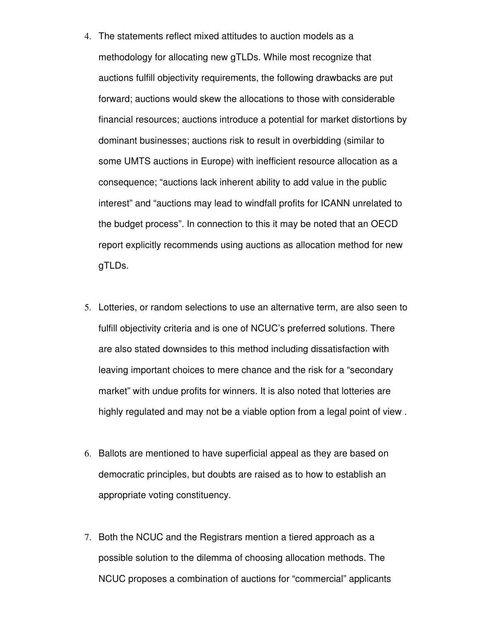- 4. The statements reflect mixed attitudes to auction models as a methodology for allocating new gTLDs. While most recognize that auctions fulfill objectivity requirements, the following drawbacks are put forward; auctions would skew the allocations to those with considerable financial resources; auctions introduce a potential for market distortions by dominant businesses; auctions risk to result in overbidding (similar to some UMTS auctions in Europe) with inefficient resource allocation as a consequence; "auctions lack inherent ability to add value in the public interest" and "auctions may lead to windfall profits for ICANN unrelated to the budget process". In connection to this it may be noted that an OECD report explicitly recommends using auctions as allocation method for new gTLDs.
- 5. Lotteries, or random selections to use an alternative term, are also seen to fulfill objectivity criteria and is one of NCUC's preferred solutions. There are also stated downsides to this method including dissatisfaction with leaving important choices to mere chance and the risk for a "secondary market" with undue profits for winners. It is also noted that lotteries are highly regulated and may not be a viable option from a legal point of view .
- 6. Ballots are mentioned to have superficial appeal as they are based on democratic principles, but doubts are raised as to how to establish an appropriate voting constituency.
- 7. Both the NCUC and the Registrars mention a tiered approach as a possible solution to the dilemma of choosing allocation methods. The NCUC proposes a combination of auctions for "commercial" applicants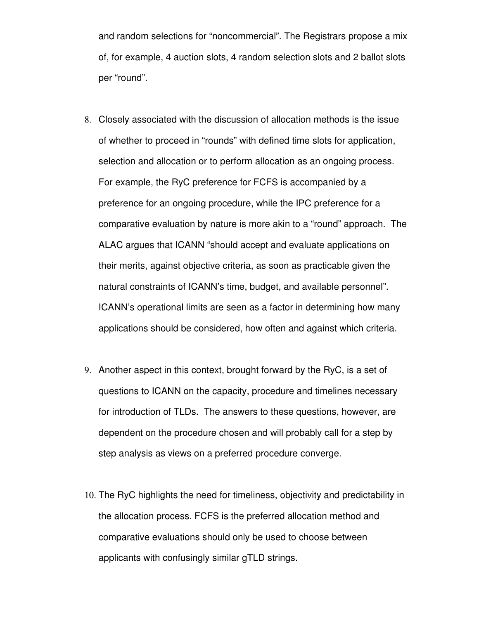and random selections for "noncommercial". The Registrars propose a mix of, for example, 4 auction slots, 4 random selection slots and 2 ballot slots per "round".

- 8. Closely associated with the discussion of allocation methods is the issue of whether to proceed in "rounds" with defined time slots for application, selection and allocation or to perform allocation as an ongoing process. For example, the RyC preference for FCFS is accompanied by a preference for an ongoing procedure, while the IPC preference for a comparative evaluation by nature is more akin to a "round" approach. The ALAC argues that ICANN "should accept and evaluate applications on their merits, against objective criteria, as soon as practicable given the natural constraints of ICANN's time, budget, and available personnel". ICANN's operational limits are seen as a factor in determining how many applications should be considered, how often and against which criteria.
- 9. Another aspect in this context, brought forward by the RyC, is a set of questions to ICANN on the capacity, procedure and timelines necessary for introduction of TLDs. The answers to these questions, however, are dependent on the procedure chosen and will probably call for a step by step analysis as views on a preferred procedure converge.
- 10. The RyC highlights the need for timeliness, objectivity and predictability in the allocation process. FCFS is the preferred allocation method and comparative evaluations should only be used to choose between applicants with confusingly similar gTLD strings.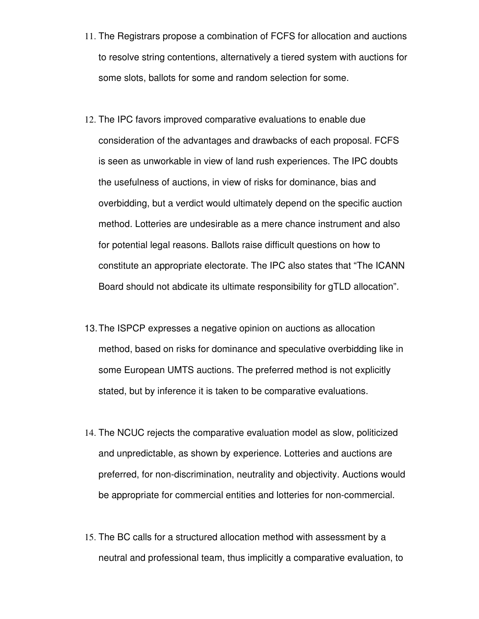- 11. The Registrars propose a combination of FCFS for allocation and auctions to resolve string contentions, alternatively a tiered system with auctions for some slots, ballots for some and random selection for some.
- 12. The IPC favors improved comparative evaluations to enable due consideration of the advantages and drawbacks of each proposal. FCFS is seen as unworkable in view of land rush experiences. The IPC doubts the usefulness of auctions, in view of risks for dominance, bias and overbidding, but a verdict would ultimately depend on the specific auction method. Lotteries are undesirable as a mere chance instrument and also for potential legal reasons. Ballots raise difficult questions on how to constitute an appropriate electorate. The IPC also states that "The ICANN Board should not abdicate its ultimate responsibility for gTLD allocation".
- 13.The ISPCP expresses a negative opinion on auctions as allocation method, based on risks for dominance and speculative overbidding like in some European UMTS auctions. The preferred method is not explicitly stated, but by inference it is taken to be comparative evaluations.
- 14. The NCUC rejects the comparative evaluation model as slow, politicized and unpredictable, as shown by experience. Lotteries and auctions are preferred, for non-discrimination, neutrality and objectivity. Auctions would be appropriate for commercial entities and lotteries for non-commercial.
- 15. The BC calls for a structured allocation method with assessment by a neutral and professional team, thus implicitly a comparative evaluation, to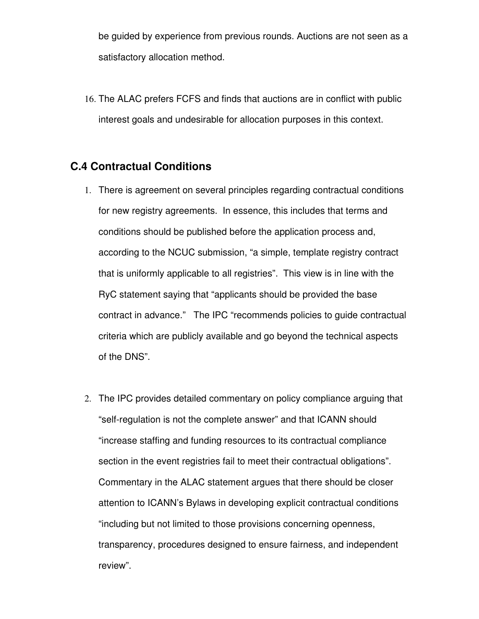be guided by experience from previous rounds. Auctions are not seen as a satisfactory allocation method.

16. The ALAC prefers FCFS and finds that auctions are in conflict with public interest goals and undesirable for allocation purposes in this context.

#### **C.4 Contractual Conditions**

- 1. There is agreement on several principles regarding contractual conditions for new registry agreements. In essence, this includes that terms and conditions should be published before the application process and, according to the NCUC submission, "a simple, template registry contract that is uniformly applicable to all registries". This view is in line with the RyC statement saying that "applicants should be provided the base contract in advance." The IPC "recommends policies to guide contractual criteria which are publicly available and go beyond the technical aspects of the DNS".
- 2. The IPC provides detailed commentary on policy compliance arguing that "self-regulation is not the complete answer" and that ICANN should "increase staffing and funding resources to its contractual compliance section in the event registries fail to meet their contractual obligations". Commentary in the ALAC statement argues that there should be closer attention to ICANN's Bylaws in developing explicit contractual conditions "including but not limited to those provisions concerning openness, transparency, procedures designed to ensure fairness, and independent review".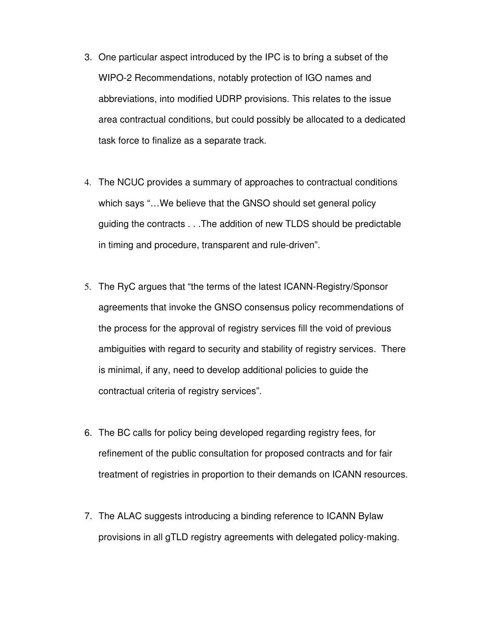- 3. One particular aspect introduced by the IPC is to bring a subset of the WIPO-2 Recommendations, notably protection of IGO names and abbreviations, into modified UDRP provisions. This relates to the issue area contractual conditions, but could possibly be allocated to a dedicated task force to finalize as a separate track.
- 4. The NCUC provides a summary of approaches to contractual conditions which says "…We believe that the GNSO should set general policy guiding the contracts . . .The addition of new TLDS should be predictable in timing and procedure, transparent and rule-driven".
- 5. The RyC argues that "the terms of the latest ICANN-Registry/Sponsor agreements that invoke the GNSO consensus policy recommendations of the process for the approval of registry services fill the void of previous ambiguities with regard to security and stability of registry services. There is minimal, if any, need to develop additional policies to guide the contractual criteria of registry services".
- 6. The BC calls for policy being developed regarding registry fees, for refinement of the public consultation for proposed contracts and for fair treatment of registries in proportion to their demands on ICANN resources.
- 7. The ALAC suggests introducing a binding reference to ICANN Bylaw provisions in all gTLD registry agreements with delegated policy-making.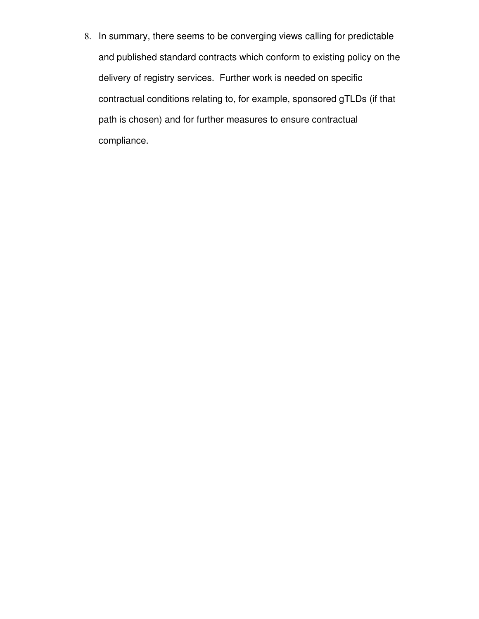8. In summary, there seems to be converging views calling for predictable and published standard contracts which conform to existing policy on the delivery of registry services. Further work is needed on specific contractual conditions relating to, for example, sponsored gTLDs (if that path is chosen) and for further measures to ensure contractual compliance.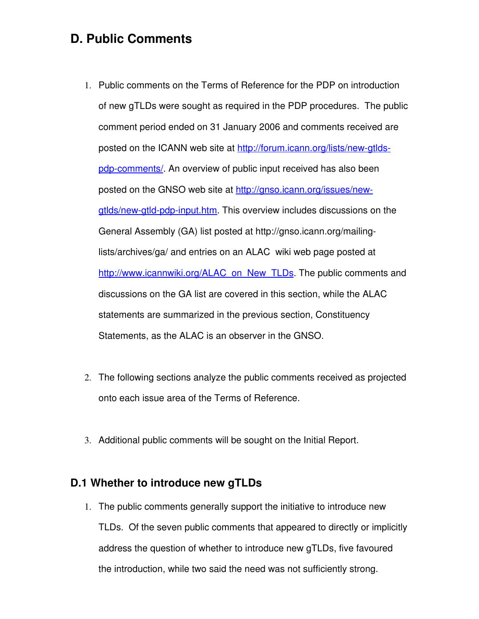### **D. Public Comments**

- 1. Public comments on the Terms of Reference for the PDP on introduction of new gTLDs were sought as required in the PDP procedures. The public comment period ended on 31 January 2006 and comments received are posted on the ICANN web site at http://forum.icann.org/lists/new-gtldspdp-comments/. An overview of public input received has also been posted on the GNSO web site at [http://gnso.icann.org/issues/new](http://gnso.icann.org/issues/new-gtlds/new-gtld-pdp-input.htm)gtlds/new-gtld-pdp-input.htm. This overview includes discussions on the General Assembly (GA) list posted at http://gnso.icann.org/mailinglists/archives/ga/ and entries on an ALAC wiki web page posted at [http://www.icannwiki.org/ALAC\\_on\\_New\\_TLDs.](http://www.icannwiki.org/ALAC_on_New_TLDs) The public comments and discussions on the GA list are covered in this section, while the ALAC statements are summarized in the previous section, Constituency Statements, as the ALAC is an observer in the GNSO.
- 2. The following sections analyze the public comments received as projected onto each issue area of the Terms of Reference.
- 3. Additional public comments will be sought on the Initial Report.

#### **D.1 Whether to introduce new gTLDs**

1. The public comments generally support the initiative to introduce new TLDs. Of the seven public comments that appeared to directly or implicitly address the question of whether to introduce new gTLDs, five favoured the introduction, while two said the need was not sufficiently strong.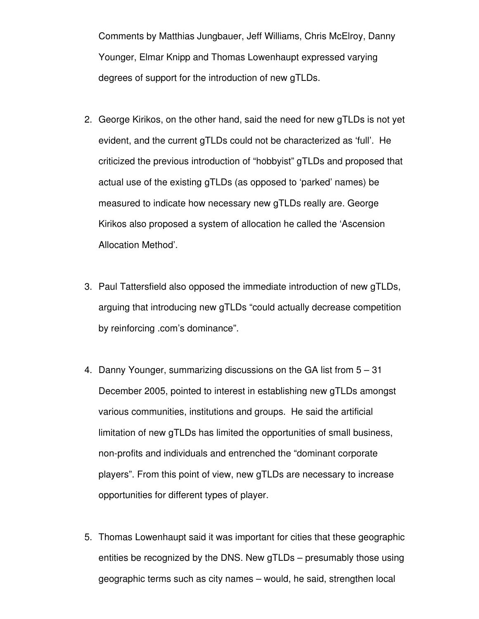Comments by Matthias Jungbauer, Jeff Williams, Chris McElroy, Danny Younger, Elmar Knipp and Thomas Lowenhaupt expressed varying degrees of support for the introduction of new gTLDs.

- 2. George Kirikos, on the other hand, said the need for new gTLDs is not yet evident, and the current gTLDs could not be characterized as 'full'. He criticized the previous introduction of "hobbyist" gTLDs and proposed that actual use of the existing gTLDs (as opposed to 'parked' names) be measured to indicate how necessary new gTLDs really are. George Kirikos also proposed a system of allocation he called the 'Ascension Allocation Method'.
- 3. Paul Tattersfield also opposed the immediate introduction of new gTLDs, arguing that introducing new gTLDs "could actually decrease competition by reinforcing .com's dominance".
- 4. Danny Younger, summarizing discussions on the GA list from 5 31 December 2005, pointed to interest in establishing new gTLDs amongst various communities, institutions and groups. He said the artificial limitation of new gTLDs has limited the opportunities of small business, non-profits and individuals and entrenched the "dominant corporate" players". From this point of view, new gTLDs are necessary to increase opportunities for different types of player.
- 5. Thomas Lowenhaupt said it was important for cities that these geographic entities be recognized by the DNS. New gTLDs – presumably those using geographic terms such as city names – would, he said, strengthen local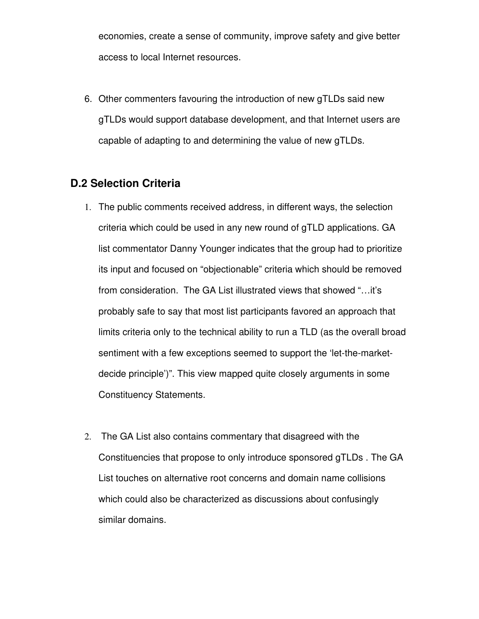economies, create a sense of community, improve safety and give better access to local Internet resources.

6. Other commenters favouring the introduction of new gTLDs said new gTLDs would support database development, and that Internet users are capable of adapting to and determining the value of new gTLDs.

#### **D.2 Selection Criteria**

- 1. The public comments received address, in different ways, the selection criteria which could be used in any new round of gTLD applications. GA list commentator Danny Younger indicates that the group had to prioritize its input and focused on "objectionable" criteria which should be removed from consideration. The GA List illustrated views that showed "…it's probably safe to say that most list participants favored an approach that limits criteria only to the technical ability to run a TLD (as the overall broad sentiment with a few exceptions seemed to support the 'let-the-marketdecide principle')". This view mapped quite closely arguments in some Constituency Statements.
- 2. The GA List also contains commentary that disagreed with the Constituencies that propose to only introduce sponsored gTLDs . The GA List touches on alternative root concerns and domain name collisions which could also be characterized as discussions about confusingly similar domains.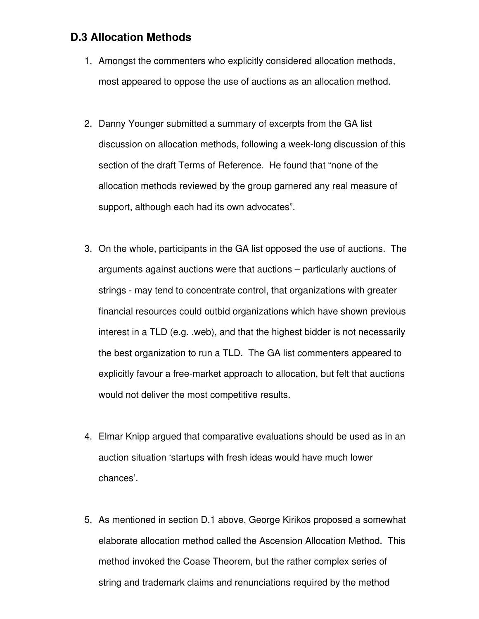#### **D.3 Allocation Methods**

- 1. Amongst the commenters who explicitly considered allocation methods, most appeared to oppose the use of auctions as an allocation method.
- 2. Danny Younger submitted a summary of excerpts from the GA list discussion on allocation methods, following a week-long discussion of this section of the draft Terms of Reference. He found that "none of the allocation methods reviewed by the group garnered any real measure of support, although each had its own advocates".
- 3. On the whole, participants in the GA list opposed the use of auctions. The arguments against auctions were that auctions – particularly auctions of strings - may tend to concentrate control, that organizations with greater financial resources could outbid organizations which have shown previous interest in a TLD (e.g. .web), and that the highest bidder is not necessarily the best organization to run a TLD. The GA list commenters appeared to explicitly favour a free-market approach to allocation, but felt that auctions would not deliver the most competitive results.
- 4. Elmar Knipp argued that comparative evaluations should be used as in an auction situation 'startups with fresh ideas would have much lower chances'.
- 5. As mentioned in section D.1 above, George Kirikos proposed a somewhat elaborate allocation method called the Ascension Allocation Method. This method invoked the Coase Theorem, but the rather complex series of string and trademark claims and renunciations required by the method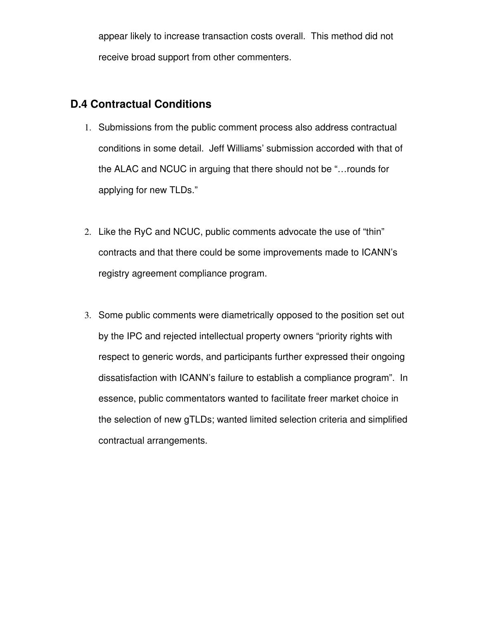appear likely to increase transaction costs overall. This method did not receive broad support from other commenters.

#### **D.4 Contractual Conditions**

- 1. Submissions from the public comment process also address contractual conditions in some detail. Jeff Williams' submission accorded with that of the ALAC and NCUC in arguing that there should not be "…rounds for applying for new TLDs."
- 2. Like the RyC and NCUC, public comments advocate the use of "thin" contracts and that there could be some improvements made to ICANN's registry agreement compliance program.
- 3. Some public comments were diametrically opposed to the position set out by the IPC and rejected intellectual property owners "priority rights with respect to generic words, and participants further expressed their ongoing dissatisfaction with ICANN's failure to establish a compliance program". In essence, public commentators wanted to facilitate freer market choice in the selection of new gTLDs; wanted limited selection criteria and simplified contractual arrangements.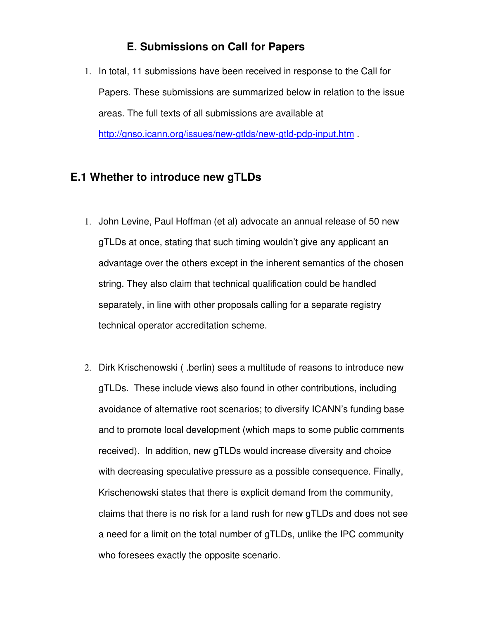#### **E. Submissions on Call for Papers**

1. In total, 11 submissions have been received in response to the Call for Papers. These submissions are summarized below in relation to the issue areas. The full texts of all submissions are available at http://gnso.icann.org/issues/new-gtlds/new-gtld-pdp-input.htm .

#### **E.1 Whether to introduce new gTLDs**

- 1. John Levine, Paul Hoffman (et al) advocate an annual release of 50 new gTLDs at once, stating that such timing wouldn't give any applicant an advantage over the others except in the inherent semantics of the chosen string. They also claim that technical qualification could be handled separately, in line with other proposals calling for a separate registry technical operator accreditation scheme.
- 2. Dirk Krischenowski ( .berlin) sees a multitude of reasons to introduce new gTLDs. These include views also found in other contributions, including avoidance of alternative root scenarios; to diversify ICANN's funding base and to promote local development (which maps to some public comments received). In addition, new gTLDs would increase diversity and choice with decreasing speculative pressure as a possible consequence. Finally, Krischenowski states that there is explicit demand from the community, claims that there is no risk for a land rush for new gTLDs and does not see a need for a limit on the total number of gTLDs, unlike the IPC community who foresees exactly the opposite scenario.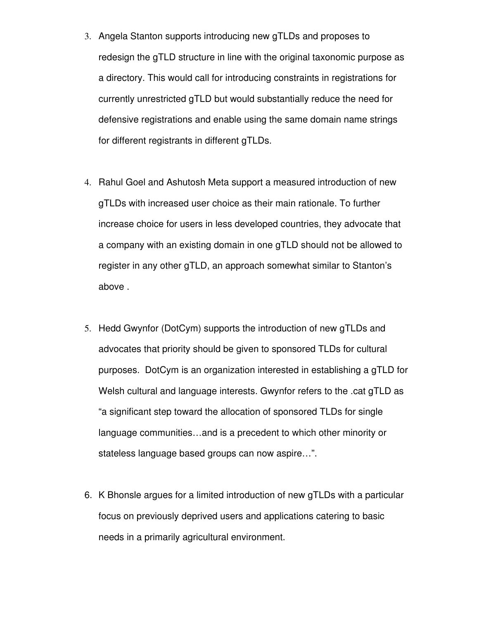- 3. Angela Stanton supports introducing new gTLDs and proposes to redesign the gTLD structure in line with the original taxonomic purpose as a directory. This would call for introducing constraints in registrations for currently unrestricted gTLD but would substantially reduce the need for defensive registrations and enable using the same domain name strings for different registrants in different gTLDs.
- 4. Rahul Goel and Ashutosh Meta support a measured introduction of new gTLDs with increased user choice as their main rationale. To further increase choice for users in less developed countries, they advocate that a company with an existing domain in one gTLD should not be allowed to register in any other gTLD, an approach somewhat similar to Stanton's above .
- 5. Hedd Gwynfor (DotCym) supports the introduction of new gTLDs and advocates that priority should be given to sponsored TLDs for cultural purposes. DotCym is an organization interested in establishing a gTLD for Welsh cultural and language interests. Gwynfor refers to the .cat gTLD as "a significant step toward the allocation of sponsored TLDs for single language communities…and is a precedent to which other minority or stateless language based groups can now aspire…".
- 6. K Bhonsle argues for a limited introduction of new gTLDs with a particular focus on previously deprived users and applications catering to basic needs in a primarily agricultural environment.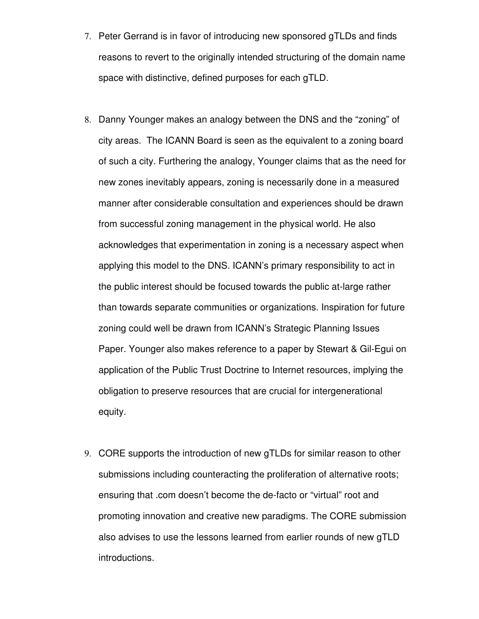- 7. Peter Gerrand is in favor of introducing new sponsored gTLDs and finds reasons to revert to the originally intended structuring of the domain name space with distinctive, defined purposes for each gTLD.
- 8. Danny Younger makes an analogy between the DNS and the "zoning" of city areas. The ICANN Board is seen as the equivalent to a zoning board of such a city. Furthering the analogy, Younger claims that as the need for new zones inevitably appears, zoning is necessarily done in a measured manner after considerable consultation and experiences should be drawn from successful zoning management in the physical world. He also acknowledges that experimentation in zoning is a necessary aspect when applying this model to the DNS. ICANN's primary responsibility to act in the public interest should be focused towards the public at-large rather than towards separate communities or organizations. Inspiration for future zoning could well be drawn from ICANN's Strategic Planning Issues Paper. Younger also makes reference to a paper by Stewart & Gil-Equi on application of the Public Trust Doctrine to Internet resources, implying the obligation to preserve resources that are crucial for intergenerational equity.
- 9. CORE supports the introduction of new gTLDs for similar reason to other submissions including counteracting the proliferation of alternative roots; ensuring that .com doesn't become the de-facto or "virtual" root and promoting innovation and creative new paradigms. The CORE submission also advises to use the lessons learned from earlier rounds of new gTLD introductions.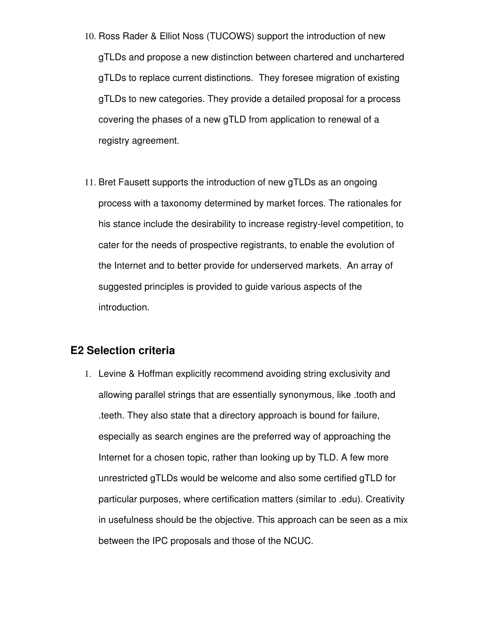- 10. Ross Rader & Elliot Noss (TUCOWS) support the introduction of new gTLDs and propose a new distinction between chartered and unchartered gTLDs to replace current distinctions. They foresee migration of existing gTLDs to new categories. They provide a detailed proposal for a process covering the phases of a new gTLD from application to renewal of a registry agreement.
- 11. Bret Fausett supports the introduction of new gTLDs as an ongoing process with a taxonomy determined by market forces. The rationales for his stance include the desirability to increase registry-level competition, to cater for the needs of prospective registrants, to enable the evolution of the Internet and to better provide for underserved markets. An array of suggested principles is provided to guide various aspects of the introduction.

#### **E2 Selection criteria**

1. Levine & Hoffman explicitly recommend avoiding string exclusivity and allowing parallel strings that are essentially synonymous, like .tooth and .teeth. They also state that a directory approach is bound for failure, especially as search engines are the preferred way of approaching the Internet for a chosen topic, rather than looking up by TLD. A few more unrestricted gTLDs would be welcome and also some certified gTLD for particular purposes, where certification matters (similar to .edu). Creativity in usefulness should be the objective. This approach can be seen as a mix between the IPC proposals and those of the NCUC.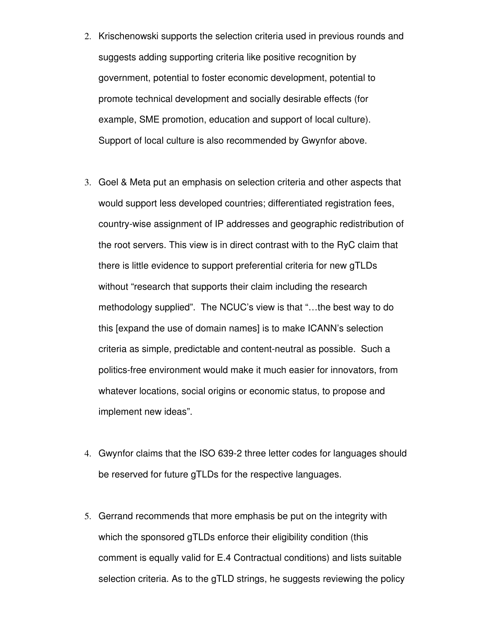- 2. Krischenowski supports the selection criteria used in previous rounds and suggests adding supporting criteria like positive recognition by government, potential to foster economic development, potential to promote technical development and socially desirable effects (for example, SME promotion, education and support of local culture). Support of local culture is also recommended by Gwynfor above.
- 3. Goel & Meta put an emphasis on selection criteria and other aspects that would support less developed countries; differentiated registration fees, country-wise assignment of IP addresses and geographic redistribution of the root servers. This view is in direct contrast with to the RyC claim that there is little evidence to support preferential criteria for new gTLDs without "research that supports their claim including the research methodology supplied". The NCUC's view is that "…the best way to do this [expand the use of domain names] is to make ICANN's selection criteria as simple, predictable and content-neutral as possible. Such a politics-free environment would make it much easier for innovators, from whatever locations, social origins or economic status, to propose and implement new ideas".
- 4. Gwynfor claims that the ISO 639-2 three letter codes for languages should be reserved for future gTLDs for the respective languages.
- 5. Gerrand recommends that more emphasis be put on the integrity with which the sponsored gTLDs enforce their eligibility condition (this comment is equally valid for E.4 Contractual conditions) and lists suitable selection criteria. As to the gTLD strings, he suggests reviewing the policy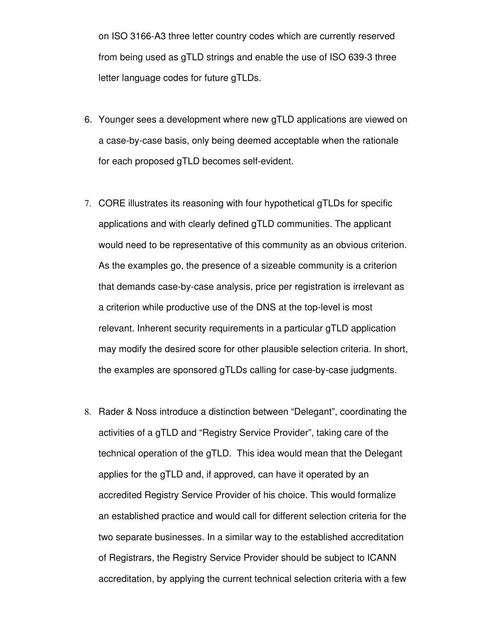on ISO 3166-A3 three letter country codes which are currently reserved from being used as gTLD strings and enable the use of ISO 639-3 three letter language codes for future gTLDs.

- 6. Younger sees a development where new gTLD applications are viewed on a case-by-case basis, only being deemed acceptable when the rationale for each proposed gTLD becomes self-evident.
- 7. CORE illustrates its reasoning with four hypothetical gTLDs for specific applications and with clearly defined gTLD communities. The applicant would need to be representative of this community as an obvious criterion. As the examples go, the presence of a sizeable community is a criterion that demands case-by-case analysis, price per registration is irrelevant as a criterion while productive use of the DNS at the top-level is most relevant. Inherent security requirements in a particular gTLD application may modify the desired score for other plausible selection criteria. In short, the examples are sponsored gTLDs calling for case-by-case judgments.
- 8. Rader & Noss introduce a distinction between "Delegant", coordinating the activities of a gTLD and "Registry Service Provider", taking care of the technical operation of the gTLD. This idea would mean that the Delegant applies for the gTLD and, if approved, can have it operated by an accredited Registry Service Provider of his choice. This would formalize an established practice and would call for different selection criteria for the two separate businesses. In a similar way to the established accreditation of Registrars, the Registry Service Provider should be subject to ICANN accreditation, by applying the current technical selection criteria with a few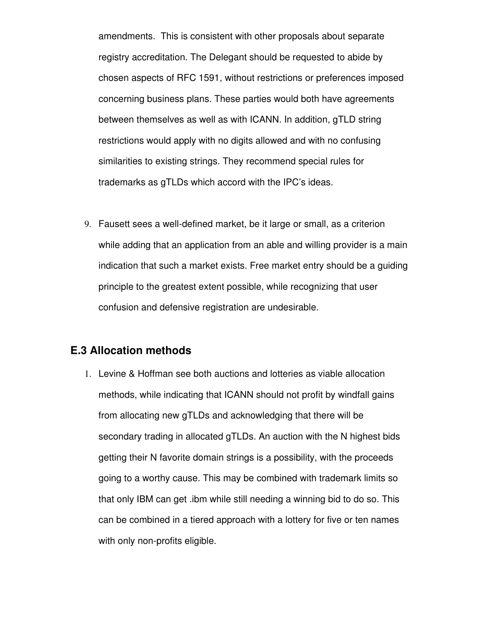amendments. This is consistent with other proposals about separate registry accreditation. The Delegant should be requested to abide by chosen aspects of RFC 1591, without restrictions or preferences imposed concerning business plans. These parties would both have agreements between themselves as well as with ICANN. In addition, gTLD string restrictions would apply with no digits allowed and with no confusing similarities to existing strings. They recommend special rules for trademarks as gTLDs which accord with the IPC's ideas.

9. Fausett sees a well-defined market, be it large or small, as a criterion while adding that an application from an able and willing provider is a main indication that such a market exists. Free market entry should be a guiding principle to the greatest extent possible, while recognizing that user confusion and defensive registration are undesirable.

#### **E.3 Allocation methods**

1. Levine & Hoffman see both auctions and lotteries as viable allocation methods, while indicating that ICANN should not profit by windfall gains from allocating new gTLDs and acknowledging that there will be secondary trading in allocated gTLDs. An auction with the N highest bids getting their N favorite domain strings is a possibility, with the proceeds going to a worthy cause. This may be combined with trademark limits so that only IBM can get .ibm while still needing a winning bid to do so. This can be combined in a tiered approach with a lottery for five or ten names with only non-profits eligible.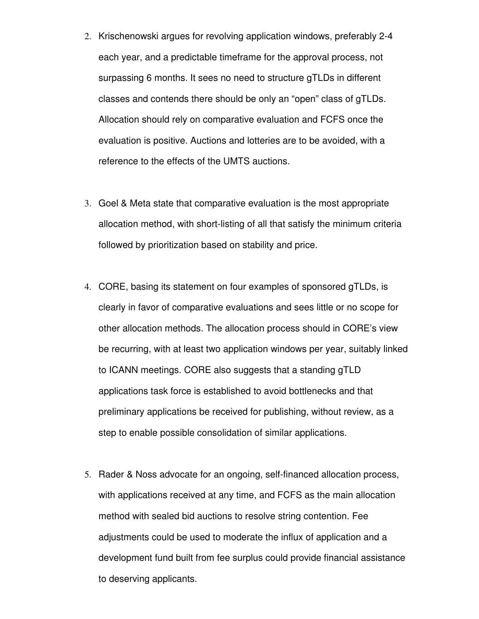- 2. Krischenowski argues for revolving application windows, preferably 24 each year, and a predictable timeframe for the approval process, not surpassing 6 months. It sees no need to structure gTLDs in different classes and contends there should be only an "open" class of gTLDs. Allocation should rely on comparative evaluation and FCFS once the evaluation is positive. Auctions and lotteries are to be avoided, with a reference to the effects of the UMTS auctions.
- 3. Goel & Meta state that comparative evaluation is the most appropriate allocation method, with short-listing of all that satisfy the minimum criteria followed by prioritization based on stability and price.
- 4. CORE, basing its statement on four examples of sponsored gTLDs, is clearly in favor of comparative evaluations and sees little or no scope for other allocation methods. The allocation process should in CORE's view be recurring, with at least two application windows per year, suitably linked to ICANN meetings. CORE also suggests that a standing gTLD applications task force is established to avoid bottlenecks and that preliminary applications be received for publishing, without review, as a step to enable possible consolidation of similar applications.
- 5. Rader & Noss advocate for an ongoing, selffinanced allocation process, with applications received at any time, and FCFS as the main allocation method with sealed bid auctions to resolve string contention. Fee adjustments could be used to moderate the influx of application and a development fund built from fee surplus could provide financial assistance to deserving applicants.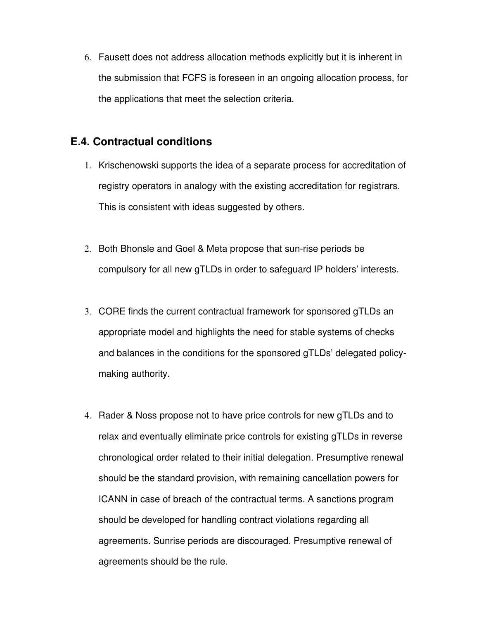6. Fausett does not address allocation methods explicitly but it is inherent in the submission that FCFS is foreseen in an ongoing allocation process, for the applications that meet the selection criteria.

#### **E.4. Contractual conditions**

- 1. Krischenowski supports the idea of a separate process for accreditation of registry operators in analogy with the existing accreditation for registrars. This is consistent with ideas suggested by others.
- 2. Both Bhonsle and Goel & Meta propose that sun-rise periods be compulsory for all new gTLDs in order to safeguard IP holders' interests.
- 3. CORE finds the current contractual framework for sponsored gTLDs an appropriate model and highlights the need for stable systems of checks and balances in the conditions for the sponsored gTLDs' delegated policymaking authority.
- 4. Rader & Noss propose not to have price controls for new gTLDs and to relax and eventually eliminate price controls for existing gTLDs in reverse chronological order related to their initial delegation. Presumptive renewal should be the standard provision, with remaining cancellation powers for ICANN in case of breach of the contractual terms. A sanctions program should be developed for handling contract violations regarding all agreements. Sunrise periods are discouraged. Presumptive renewal of agreements should be the rule.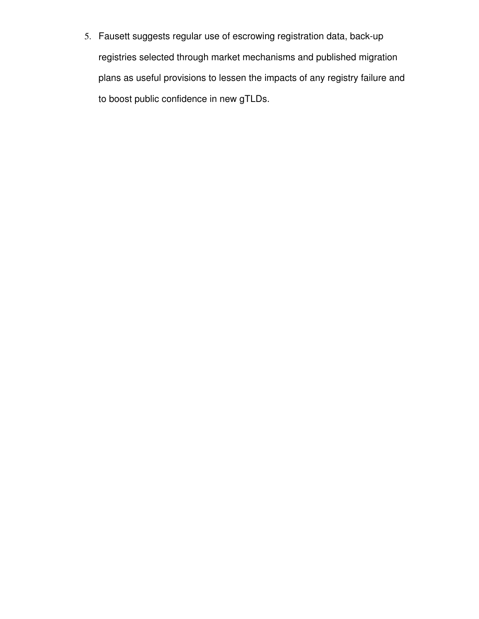5. Fausett suggests regular use of escrowing registration data, back-up registries selected through market mechanisms and published migration plans as useful provisions to lessen the impacts of any registry failure and to boost public confidence in new gTLDs.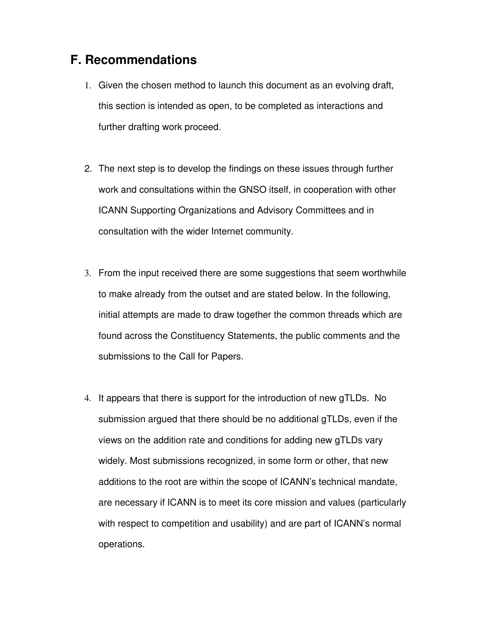#### **F. Recommendations**

- 1. Given the chosen method to launch this document as an evolving draft, this section is intended as open, to be completed as interactions and further drafting work proceed.
- 2. The next step is to develop the findings on these issues through further work and consultations within the GNSO itself, in cooperation with other ICANN Supporting Organizations and Advisory Committees and in consultation with the wider Internet community.
- 3. From the input received there are some suggestions that seem worthwhile to make already from the outset and are stated below. In the following, initial attempts are made to draw together the common threads which are found across the Constituency Statements, the public comments and the submissions to the Call for Papers.
- 4. It appears that there is support for the introduction of new gTLDs. No submission argued that there should be no additional gTLDs, even if the views on the addition rate and conditions for adding new gTLDs vary widely. Most submissions recognized, in some form or other, that new additions to the root are within the scope of ICANN's technical mandate, are necessary if ICANN is to meet its core mission and values (particularly with respect to competition and usability) and are part of ICANN's normal operations.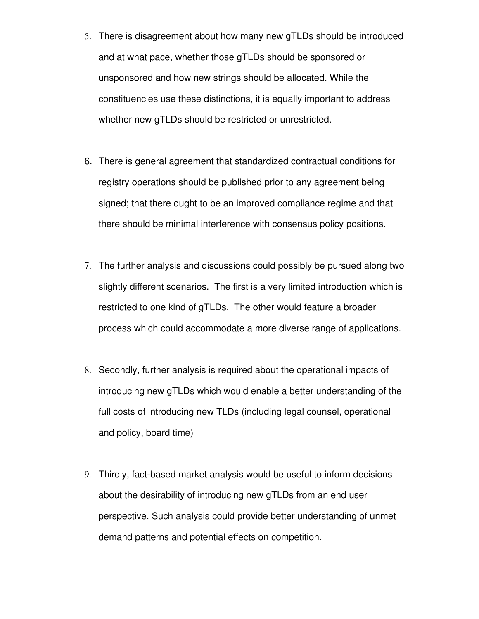- 5. There is disagreement about how many new gTLDs should be introduced and at what pace, whether those gTLDs should be sponsored or unsponsored and how new strings should be allocated. While the constituencies use these distinctions, it is equally important to address whether new gTLDs should be restricted or unrestricted.
- 6. There is general agreement that standardized contractual conditions for registry operations should be published prior to any agreement being signed; that there ought to be an improved compliance regime and that there should be minimal interference with consensus policy positions.
- 7. The further analysis and discussions could possibly be pursued along two slightly different scenarios. The first is a very limited introduction which is restricted to one kind of gTLDs. The other would feature a broader process which could accommodate a more diverse range of applications.
- 8. Secondly, further analysis is required about the operational impacts of introducing new gTLDs which would enable a better understanding of the full costs of introducing new TLDs (including legal counsel, operational and policy, board time)
- 9. Thirdly, fact-based market analysis would be useful to inform decisions about the desirability of introducing new gTLDs from an end user perspective. Such analysis could provide better understanding of unmet demand patterns and potential effects on competition.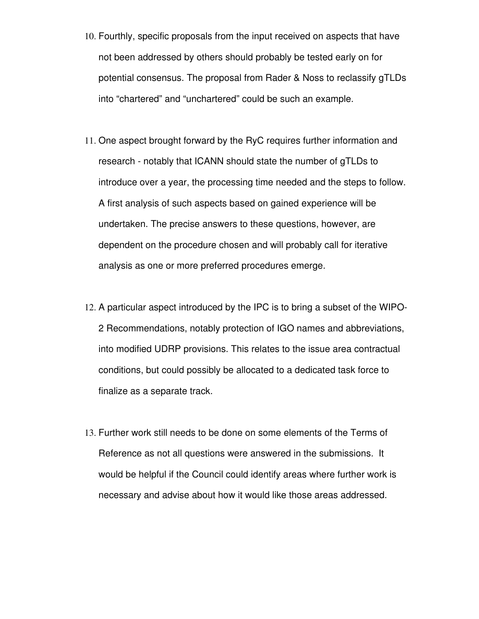- 10. Fourthly, specific proposals from the input received on aspects that have not been addressed by others should probably be tested early on for potential consensus. The proposal from Rader & Noss to reclassify gTLDs into "chartered" and "unchartered" could be such an example.
- 11. One aspect brought forward by the RyC requires further information and research - notably that ICANN should state the number of gTLDs to introduce over a year, the processing time needed and the steps to follow. A first analysis of such aspects based on gained experience will be undertaken. The precise answers to these questions, however, are dependent on the procedure chosen and will probably call for iterative analysis as one or more preferred procedures emerge.
- 12. A particular aspect introduced by the IPC is to bring a subset of the WIPO-2 Recommendations, notably protection of IGO names and abbreviations, into modified UDRP provisions. This relates to the issue area contractual conditions, but could possibly be allocated to a dedicated task force to finalize as a separate track.
- 13. Further work still needs to be done on some elements of the Terms of Reference as not all questions were answered in the submissions. It would be helpful if the Council could identify areas where further work is necessary and advise about how it would like those areas addressed.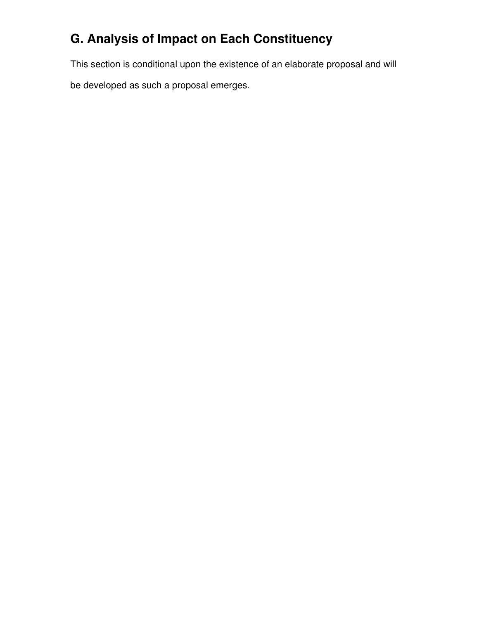## **G. Analysis of Impact on Each Constituency**

This section is conditional upon the existence of an elaborate proposal and will

be developed as such a proposal emerges.